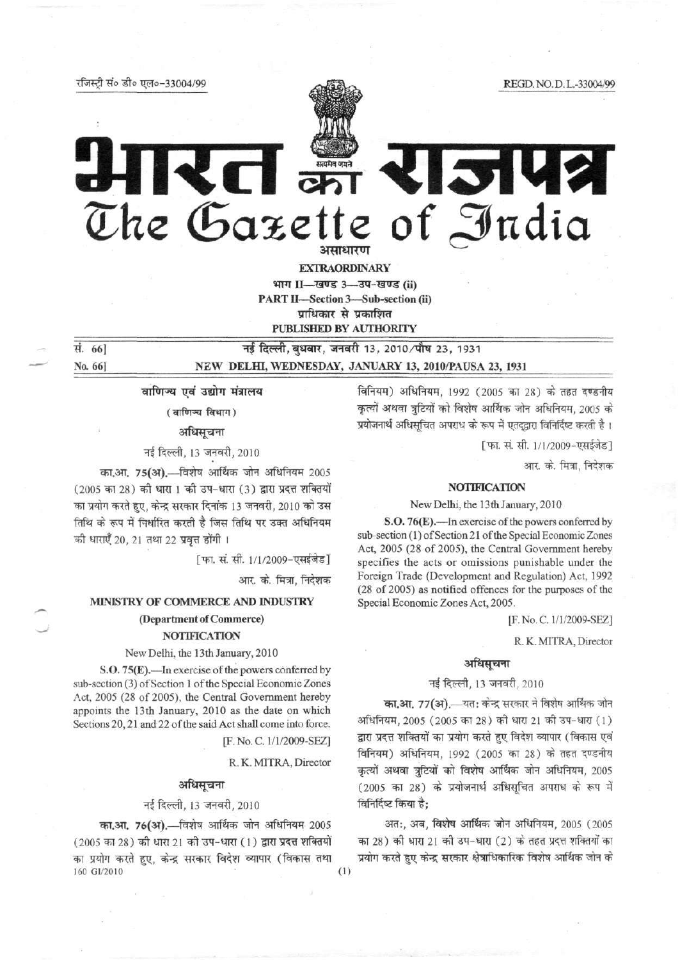•tf^rc^t tfo *-£(o* TT?To-33004/99 REGD.NO.D.L.-33004/99



# 15142 The Gazette of India

EXTRAORDINARY

भाग II—खण्ड 3—उप-खण्ड (ii) PART II-Section 3-Sub-section (ii) प्राधिकार से प्रकाशित PUBLISHED BY AUTHORITY

**सं. 66 The Transfer of Transferrer 13, 2010/पौ**ष 23, 1931 No. 66] NEW DELHI, WEDNESDAY, JANUARY 13, 2010/PAUSA 23, 1931

वाणिज्य एवं उद्योग मंत्रालय

( वाणिज्य विभाग)

अधिसूचना

नई दिल्ली, 13 जनवरी, 2010

का.आ. 75(अ).—विशेष आर्थिक जोन अधिनियम 2005 (2005 का 28) की धारा 1 की उप-धारा (3) द्वारा प्रदत्त शक्तियों का प्रयोग करते हुए, केन्द्र सरकार दिनांक 13 जनवरी, 2010 को उस तिथि के रूप में निर्धारित करती है जिस तिथि पर उक्त अधिनियम की धाराएँ 20, 21 तथा 22 प्रवृत्त होंगी ।

[फा. सं. सी. 1/1/2009-एसईजेड]

आर. के. मित्रा, निदेशक

#### MINISTRY OF COMMERCE AND INDUSTRY

# (Department of Commerce)

#### NOTIFICATION

#### New Delhi, the 13th January, 2010

S.0.75(E).—In exercise of the powers conferred by sub-section (3) of Section 1 of the Special Economic Zones Act, 2005 (28 of 2005), the Central Government hereby appoints the 13th January, 2010 as the date on which Sections 20,21 and 22 of the said Act shall come into force.

[F.No.C.l/l/2009-SEZ]

R.K.MITRA, Director

#### अधिसूचना

#### नई दिल्ली, 13 जनवरी, 2010

का.आ. 76(अ).—विशेष आर्थिक जोन अधिनियम 2005

 $(2005$  का 28) की धारा 21 की उप-धारा  $(1)$  द्वारा प्रदत्त शक्तियों का प्रयोग करते हुए, केन्द्र सरकार विदेश व्यापार (विकास तथा 160 GI/2010 (1)

विनियम) अधिनियम, 1992 (2005 का 28) के तहत दण्डनीय कृत्यों अथवा त्रूटियों को विशेष आर्थिक जोन अधिनियम, 2005 के प्रयोजनार्थ अधिसूचित अपराध के रूप में एतदुद्वारा विनिर्दिष्ट करती है।

[फा. सं. सी.  $1/1/2009$ -एसईजेड]

आर. के. मित्रा, निदेशक

#### NOTIFICATION

New Delhi, the 13th January, 2010

S.0.76(E).—In exercise of the powers conferred by sub-section (1) of Section 21 of the Special Economic Zones Act, 2005 (28 of 2005), the Central Government hereby specifies the acts or omissions punishable under the Foreign Trade (Development and Regulation) Act, 1992 (28 of 2005) as notified offences for the purposes of the Special Economic Zones Act, 2005.

[F.No.C. 1/1/2009-SEZ]

R.K.MITRA, Director

#### अधिसूचना

#### नई दिल्ली, 13 जनवरी, 2010

**का.आ. 77(अ).**—यत: केन्द्र सरकार ने विशेष आर्थिक जोन अधिनियम, 2005 (2005 का 28) की धारा 21 की उप-धारा (1) द्वारा प्रदत्त शक्तियों का प्रयोग करते हुए विदेश व्यापार (विकास एवं विनियम) अधिनियम, 1992 (2005 का 28) के तहत दण्डनीय कृत्यों अथवा त्रुटियों को विशेष आर्थिक जोन अधिनियम, 2005 (2005 का 28) के प्रयोजनार्थ अधिसूचित अपराध के रूप में विनिर्दिष्ट किया है:

अत:, अब, विशेष आर्थिक जोन अधिनियम, 2005 (2005 का 28) की धारा 21 की उप-धारा (2) के तहत प्रदत्त शक्तियों का प्रयोग करते हुए केन्द्र सरकार क्षेत्राधिकारिक विशेष आर्थिक जोन के